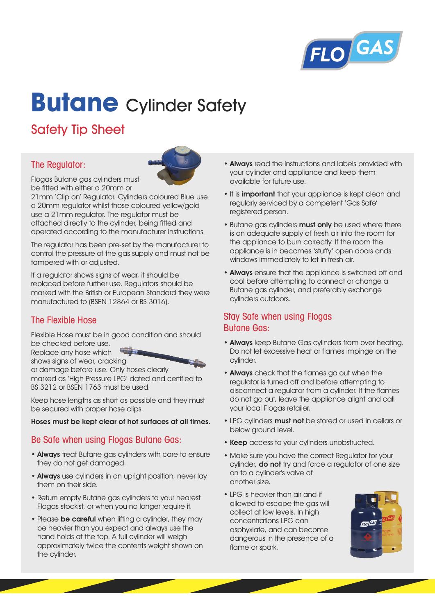

# **Butane** Cylinder Safety

# Safety Tip Sheet

# The Regulator:



Flogas Butane gas cylinders must be fitted with either a 20mm or

21mm 'Clip on' Regulator. Cylinders coloured Blue use a 20mm regulator whilst those coloured yellow/gold use a 21mm regulator. The regulator must be attached directly to the cylinder, being fitted and operated according to the manufacturer instructions.

The regulator has been pre-set by the manufacturer to control the pressure of the gas supply and must not be tampered with or adjusted.

If a regulator shows signs of wear, it should be replaced before further use. Regulators should be marked with the British or European Standard they were manufactured to (BSEN 12864 or BS 3016).

# The Flexible Hose

Flexible Hose must be in good condition and should be checked before use.

Replace any hose which



shows signs of wear, cracking or damage before use. Only hoses clearly marked as 'High Pressure LPG' dated and certified to BS 3212 or BSEN 1763 must be used.

Keep hose lengths as short as possible and they must be secured with proper hose clips.

#### **Hoses must be kept clear of hot surfaces at all times.**

### Be Safe when using Flogas Butane Gas:

- **Always** treat Butane gas cylinders with care to ensure they do not get damaged.
- **Always** use cylinders in an upright position, never lay them on their side.
- Return empty Butane gas cylinders to your nearest Flogas stockist, or when you no longer require it.
- Please **be careful** when lifting a cylinder, they may be heavier than you expect and always use the hand holds at the top. A full cylinder will weigh approximately twice the contents weight shown on the cylinder.
- **Always** read the instructions and labels provided with your cylinder and appliance and keep them available for future use.
- It is **important** that your appliance is kept clean and regularly serviced by a competent 'Gas Safe' registered person.
- Butane gas cylinders **must only** be used where there is an adequate supply of fresh air into the room for the appliance to burn correctly. If the room the appliance is in becomes 'stuffy' open doors ands windows immediately to let in fresh air.
- **Always** ensure that the appliance is switched off and cool before attempting to connect or change a Butane gas cylinder, and preferably exchange cylinders outdoors.

## Stay Safe when using Flogas Butane Gas:

- **Always** keep Butane Gas cylinders from over heating. Do not let excessive heat or flames impinge on the cylinder.
- **Always** check that the flames go out when the regulator is turned off and before attempting to disconnect a regulator from a cylinder. If the flames do not go out, leave the appliance alight and call your local Flogas retailer.
- LPG cylinders **must not** be stored or used in cellars or below ground level.
- **Keep** access to your cylinders unobstructed.
- Make sure you have the correct Regulator for your cylinder, **do not** try and force a regulator of one size on to a cylinder's valve of another size.
- LPG is heavier than air and if allowed to escape the gas will collect at low levels. In high concentrations LPG can asphyxiate, and can become dangerous in the presence of a flame or spark.